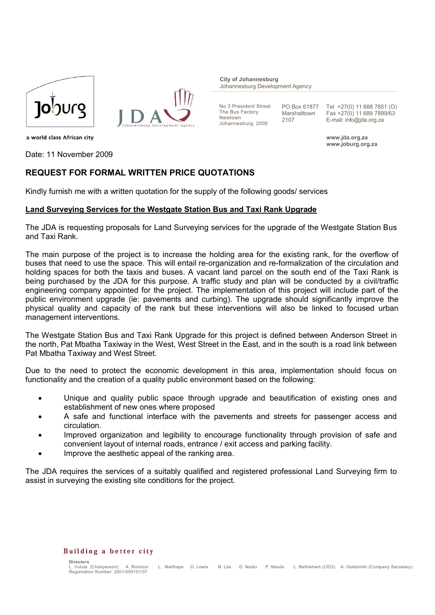



**City of Johannesburg** Johannesburg Development Agency

No 3 President Street The Bus Factory Newtown Johannesburg, 2000

PO Box 61877 Marshalltown 2107

Tel +27(0) 11 688 7851 (O) Fax +27(0) 11 688 7899/63 E-mail: info@jda.org.za

**www.jda.org.za www.joburg.org.za**

a world class African city

Date: 11 November 2009

## **REQUEST FOR FORMAL WRITTEN PRICE QUOTATIONS**

Kindly furnish me with a written quotation for the supply of the following goods/ services

### **Land Surveying Services for the Westgate Station Bus and Taxi Rank Upgrade**

The JDA is requesting proposals for Land Surveying services for the upgrade of the Westgate Station Bus and Taxi Rank.

The main purpose of the project is to increase the holding area for the existing rank, for the overflow of buses that need to use the space. This will entail re-organization and re-formalization of the circulation and holding spaces for both the taxis and buses. A vacant land parcel on the south end of the Taxi Rank is being purchased by the JDA for this purpose. A traffic study and plan will be conducted by a civil/traffic engineering company appointed for the project. The implementation of this project will include part of the public environment upgrade (ie: pavements and curbing). The upgrade should significantly improve the physical quality and capacity of the rank but these interventions will also be linked to focused urban management interventions.

The Westgate Station Bus and Taxi Rank Upgrade for this project is defined between Anderson Street in the north, Pat Mbatha Taxiway in the West, West Street in the East, and in the south is a road link between Pat Mbatha Taxiway and West Street.

Due to the need to protect the economic development in this area, implementation should focus on functionality and the creation of a quality public environment based on the following:

- Unique and quality public space through upgrade and beautification of existing ones and establishment of new ones where proposed
- A safe and functional interface with the pavements and streets for passenger access and circulation.
- Improved organization and legibility to encourage functionality through provision of safe and convenient layout of internal roads, entrance / exit access and parking facility.
- Improve the aesthetic appeal of the ranking area.

The JDA requires the services of a suitably qualified and registered professional Land Surveying firm to assist in surveying the existing site conditions for the project.

#### Building a better city

**Directors**<br> **L** Vutula (Chairnerson) A. Roriston L. Matlhape D. Lewis N. Lila D. Naidu P. Masilo L. Bethlehem (CEO) A. Goldsmith (Company Secretary) Registration Number: 2001/005101/07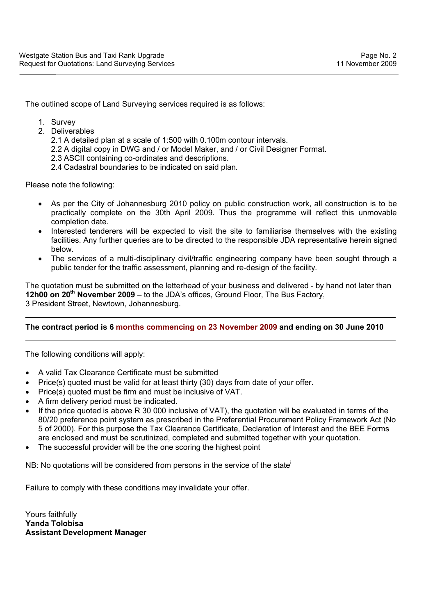The outlined scope of Land Surveying services required is as follows:

- 1. Survey
- 2. Deliverables

2.1 A detailed plan at a scale of 1:500 with 0.100m contour intervals.

2.2 A digital copy in DWG and / or Model Maker, and / or Civil Designer Format.

2.3 ASCII containing co-ordinates and descriptions.

2.4 Cadastral boundaries to be indicated on said plan.

Please note the following:

- As per the City of Johannesburg 2010 policy on public construction work, all construction is to be practically complete on the 30th April 2009. Thus the programme will reflect this unmovable completion date.
- Interested tenderers will be expected to visit the site to familiarise themselves with the existing facilities. Any further queries are to be directed to the responsible JDA representative herein signed below.
- The services of a multi-disciplinary civil/traffic engineering company have been sought through a public tender for the traffic assessment, planning and re-design of the facility.

The quotation must be submitted on the letterhead of your business and delivered - by hand not later than **12h00 on 20<sup>th</sup> November 2009** – to the JDA's offices, Ground Floor, The Bus Factory, 3 President Street, Newtown, Johannesburg.

# **The contract period is 6 months commencing on 23 November 2009 and ending on 30 June 2010**

The following conditions will apply:

- A valid Tax Clearance Certificate must be submitted
- Price(s) quoted must be valid for at least thirty (30) days from date of your offer.
- Price(s) quoted must be firm and must be inclusive of VAT.
- A firm delivery period must be indicated.
- If the price quoted is above R 30 000 inclusive of VAT), the quotation will be evaluated in terms of the 80/20 preference point system as prescribed in the Preferential Procurement Policy Framework Act (No 5 of 2000). For this purpose the Tax Clearance Certificate, Declaration of Interest and the BEE Forms are enclosed and must be scrutinized, completed and submitted together with your quotation.
- The successful provider will be the one scoring the highest point

NB: No quotations will be considered from persons in the service of the state

Failure to comply with these conditions may invalidate your offer.

Yours faithfully **Yanda Tolobisa Assistant Development Manager**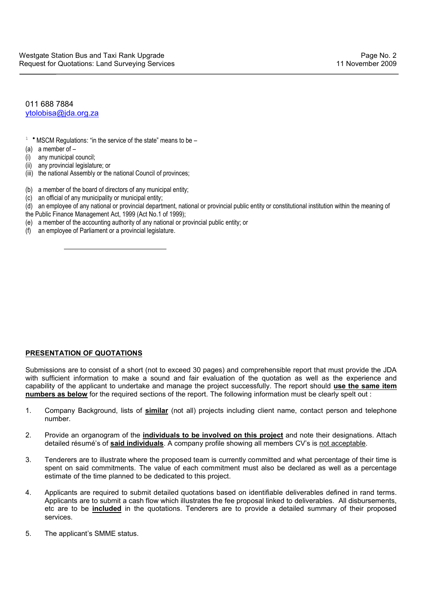011 688 7884 ytolobisa@jda.org.za

- $1$  \* MSCM Regulations: "in the service of the state" means to be –
- (a) a member of  $-$
- $(i)$  any municipal council:
- (ii) any provincial legislature; or

 $\overline{a}$ 

- (iii) the national Assembly or the national Council of provinces;
- (b) a member of the board of directors of any municipal entity;
- (c) an official of any municipality or municipal entity;
- (d) an employee of any national or provincial department, national or provincial public entity or constitutional institution within the meaning of
- the Public Finance Management Act, 1999 (Act No.1 of 1999);
- (e) a member of the accounting authority of any national or provincial public entity; or
- (f) an employee of Parliament or a provincial legislature.

### **PRESENTATION OF QUOTATIONS**

Submissions are to consist of a short (not to exceed 30 pages) and comprehensible report that must provide the JDA with sufficient information to make a sound and fair evaluation of the quotation as well as the experience and capability of the applicant to undertake and manage the project successfully. The report should **use the same item numbers as below** for the required sections of the report. The following information must be clearly spelt out :

- 1. Company Background, lists of **similar** (not all) projects including client name, contact person and telephone number.
- 2. Provide an organogram of the **individuals to be involved on this project** and note their designations. Attach detailed résumé's of **said individuals**. A company profile showing all members CV's is not acceptable.
- 3. Tenderers are to illustrate where the proposed team is currently committed and what percentage of their time is spent on said commitments. The value of each commitment must also be declared as well as a percentage estimate of the time planned to be dedicated to this project.
- 4. Applicants are required to submit detailed quotations based on identifiable deliverables defined in rand terms. Applicants are to submit a cash flow which illustrates the fee proposal linked to deliverables. All disbursements, etc are to be **included** in the quotations. Tenderers are to provide a detailed summary of their proposed services.
- 5. The applicant's SMME status.